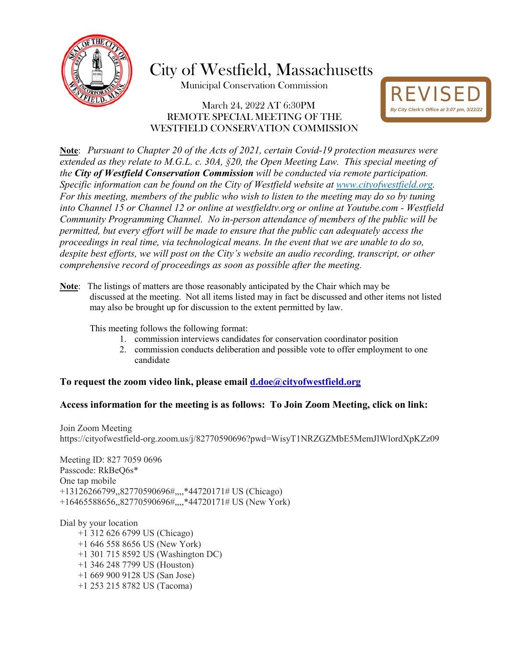

City of Westfield, Massachusetts

Municipal Conservation Commission

## March 24, 2022 AT 6:30PM REMOTE SPECIAL MEETING OF THE WESTFIELD CONSERVATION COMMISSION



**Note**: *Pursuant to Chapter 20 of the Acts of 2021, certain Covid-19 protection measures were extended as they relate to M.G.L. c. 30A, §20, the Open Meeting Law. This special meeting of the City of Westfield Conservation Commission will be conducted via remote participation. Specific information can be found on the City of Westfield website at [www.cityofwestfield.org.](http://www.cityofwestfield.org/) For this meeting, members of the public who wish to listen to the meeting may do so by tuning into Channel 15 or Channel 12 or online at westfieldtv.org or online at Youtube.com - Westfield Community Programming Channel. No in-person attendance of members of the public will be permitted, but every effort will be made to ensure that the public can adequately access the proceedings in real time, via technological means. In the event that we are unable to do so, despite best efforts, we will post on the City's website an audio recording, transcript, or other comprehensive record of proceedings as soon as possible after the meeting.* 

**Note**: The listings of matters are those reasonably anticipated by the Chair which may be discussed at the meeting. Not all items listed may in fact be discussed and other items not listed may also be brought up for discussion to the extent permitted by law.

This meeting follows the following format:

- 1. commission interviews candidates for conservation coordinator position
- 2. commission conducts deliberation and possible vote to offer employment to one candidate

**To request the zoom video link, please email [d.doe@cityo](mailto:d.doe@city)fwestfield.org** 

## **Access information for the meeting is as follows: To Join Zoom Meeting, click on link:**

Join Zoom Meeting https://cityofwestfield-org.zoom.us/j/82770590696?pwd=WisyT1NRZGZMbE5MemJlWlordXpKZz09

Meeting ID: 827 7059 0696 Passcode: RkBeQ6s\* One tap mobile +13126266799,,82770590696#,,,,\*44720171# US (Chicago) +16465588656,,82770590696#,,,,\*44720171# US (New York)

Dial by your location +1 312 626 6799 US (Chicago) +1 646 558 8656 US (New York) +1 301 715 8592 US (Washington DC) +1 346 248 7799 US (Houston) +1 669 900 9128 US (San Jose) +1 253 215 8782 US (Tacoma)